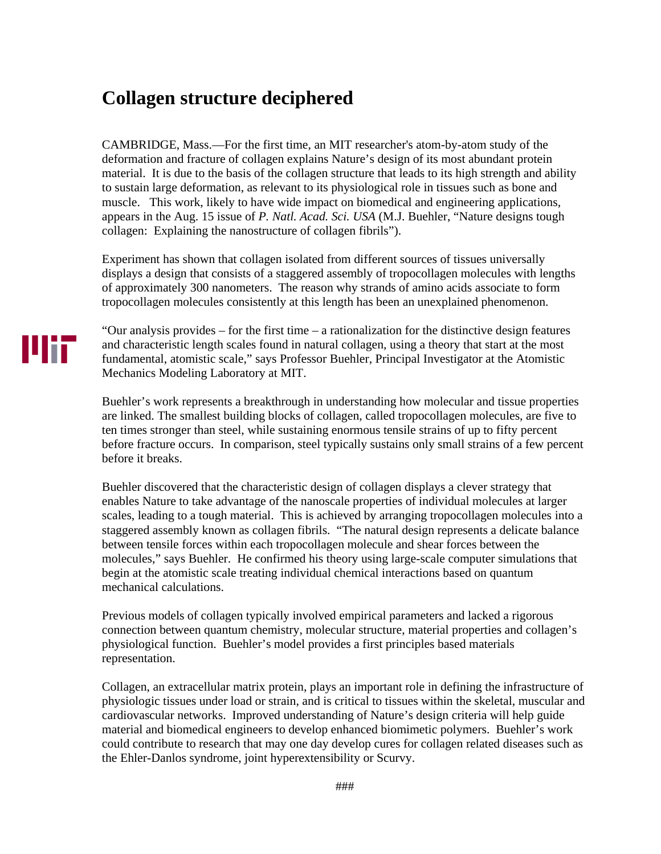## **Collagen structure deciphered**

CAMBRIDGE, Mass.—For the first time, an MIT researcher's atom-by-atom study of the deformation and fracture of collagen explains Nature's design of its most abundant protein material. It is due to the basis of the collagen structure that leads to its high strength and ability to sustain large deformation, as relevant to its physiological role in tissues such as bone and muscle. This work, likely to have wide impact on biomedical and engineering applications, appears in the Aug. 15 issue of *P. Natl. Acad. Sci. USA* (M.J. Buehler, "Nature designs tough collagen: Explaining the nanostructure of collagen fibrils").

Experiment has shown that collagen isolated from different sources of tissues universally displays a design that consists of a staggered assembly of tropocollagen molecules with lengths of approximately 300 nanometers. The reason why strands of amino acids associate to form tropocollagen molecules consistently at this length has been an unexplained phenomenon.

"Our analysis provides – for the first time – a rationalization for the distinctive design features and characteristic length scales found in natural collagen, using a theory that start at the most fundamental, atomistic scale," says Professor Buehler, Principal Investigator at the Atomistic Mechanics Modeling Laboratory at MIT.

Buehler's work represents a breakthrough in understanding how molecular and tissue properties are linked. The smallest building blocks of collagen, called tropocollagen molecules, are five to ten times stronger than steel, while sustaining enormous tensile strains of up to fifty percent before fracture occurs. In comparison, steel typically sustains only small strains of a few percent before it breaks.

Buehler discovered that the characteristic design of collagen displays a clever strategy that enables Nature to take advantage of the nanoscale properties of individual molecules at larger scales, leading to a tough material. This is achieved by arranging tropocollagen molecules into a staggered assembly known as collagen fibrils. "The natural design represents a delicate balance between tensile forces within each tropocollagen molecule and shear forces between the molecules," says Buehler. He confirmed his theory using large-scale computer simulations that begin at the atomistic scale treating individual chemical interactions based on quantum mechanical calculations.

Previous models of collagen typically involved empirical parameters and lacked a rigorous connection between quantum chemistry, molecular structure, material properties and collagen's physiological function. Buehler's model provides a first principles based materials representation.

Collagen, an extracellular matrix protein, plays an important role in defining the infrastructure of physiologic tissues under load or strain, and is critical to tissues within the skeletal, muscular and cardiovascular networks. Improved understanding of Nature's design criteria will help guide material and biomedical engineers to develop enhanced biomimetic polymers. Buehler's work could contribute to research that may one day develop cures for collagen related diseases such as the Ehler-Danlos syndrome, joint hyperextensibility or Scurvy.

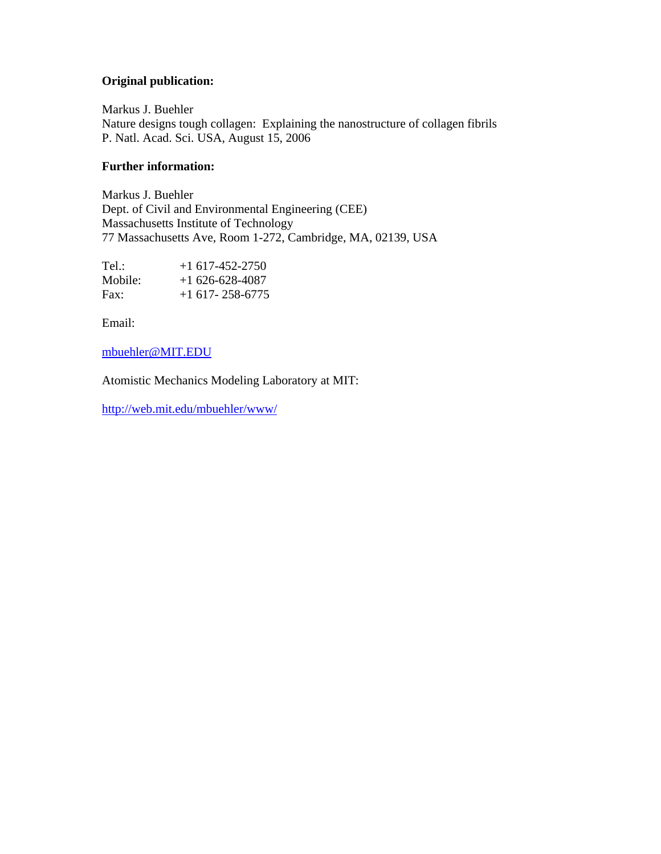## **Original publication:**

Markus J. Buehler Nature designs tough collagen: Explaining the nanostructure of collagen fibrils P. Natl. Acad. Sci. USA, August 15, 2006

## **Further information:**

Markus J. Buehler Dept. of Civil and Environmental Engineering (CEE) Massachusetts Institute of Technology 77 Massachusetts Ave, Room 1-272, Cambridge, MA, 02139, USA

| Tel.:   | $+1$ 617-452-2750     |
|---------|-----------------------|
| Mobile: | $+1626-628-4087$      |
| Fax:    | $+1$ 617 - 258 - 6775 |

Email:

## mbuehler@MIT.EDU

Atomistic Mechanics Modeling Laboratory at MIT:

http://web.mit.edu/mbuehler/www/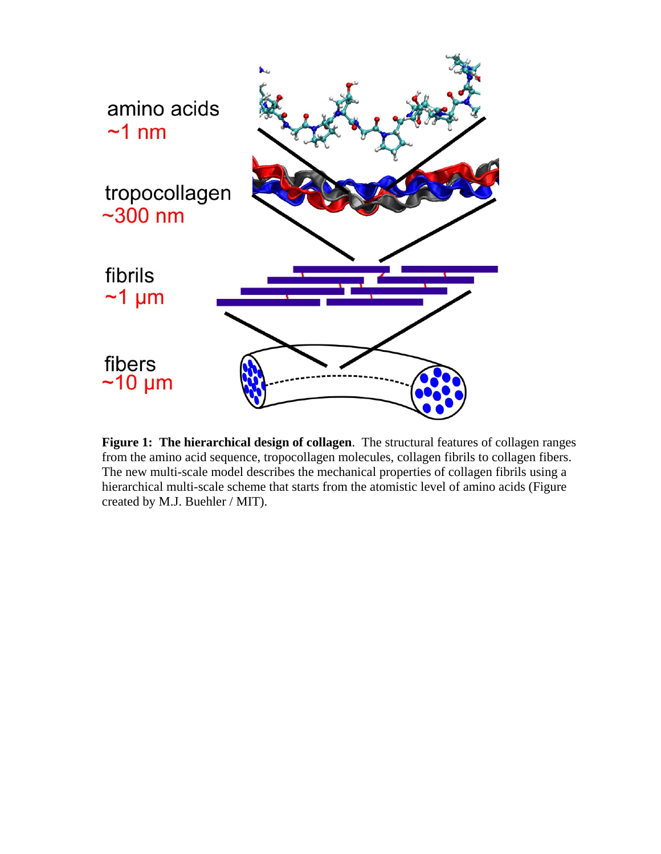

**Figure 1: The hierarchical design of collagen**. The structural features of collagen ranges from the amino acid sequence, tropocollagen molecules, collagen fibrils to collagen fibers. The new multi-scale model describes the mechanical properties of collagen fibrils using a hierarchical multi-scale scheme that starts from the atomistic level of amino acids (Figure created by M.J. Buehler / MIT).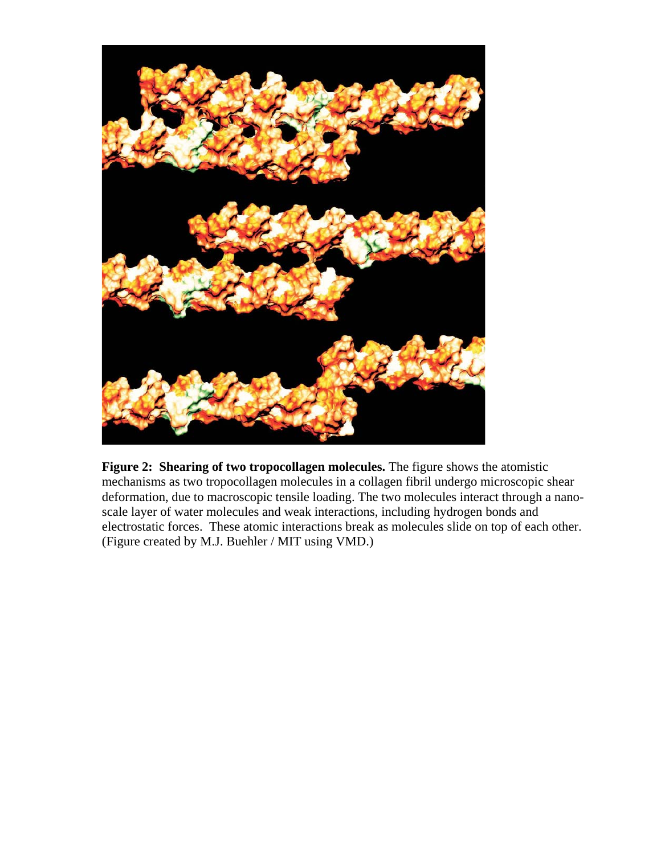

**Figure 2: Shearing of two tropocollagen molecules.** The figure shows the atomistic mechanisms as two tropocollagen molecules in a collagen fibril undergo microscopic shear deformation, due to macroscopic tensile loading. The two molecules interact through a nanoscale layer of water molecules and weak interactions, including hydrogen bonds and electrostatic forces. These atomic interactions break as molecules slide on top of each other. (Figure created by M.J. Buehler / MIT using VMD.)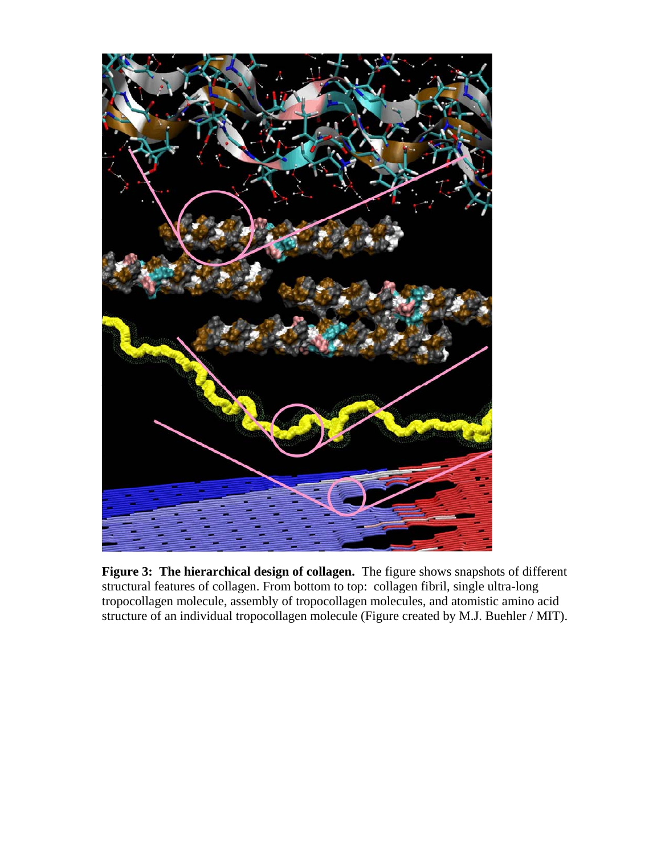

**Figure 3: The hierarchical design of collagen.** The figure shows snapshots of different structural features of collagen. From bottom to top: collagen fibril, single ultra-long tropocollagen molecule, assembly of tropocollagen molecules, and atomistic amino acid structure of an individual tropocollagen molecule (Figure created by M.J. Buehler / MIT).